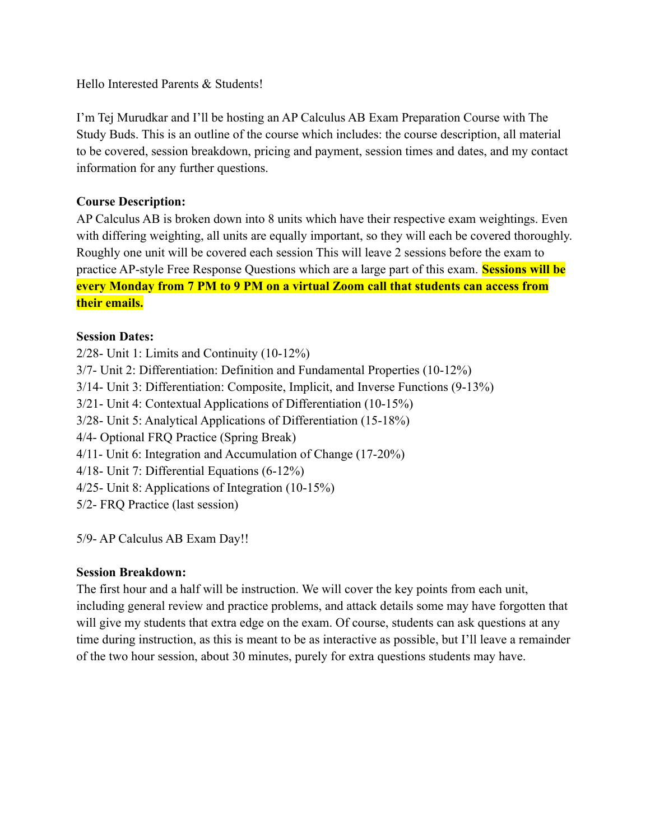Hello Interested Parents & Students!

I'm Tej Murudkar and I'll be hosting an AP Calculus AB Exam Preparation Course with The Study Buds. This is an outline of the course which includes: the course description, all material to be covered, session breakdown, pricing and payment, session times and dates, and my contact information for any further questions.

## **Course Description:**

AP Calculus AB is broken down into 8 units which have their respective exam weightings. Even with differing weighting, all units are equally important, so they will each be covered thoroughly. Roughly one unit will be covered each session This will leave 2 sessions before the exam to practice AP-style Free Response Questions which are a large part of this exam. **Sessions will be every Monday from 7 PM to 9 PM on a virtual Zoom call that students can access from their emails.**

## **Session Dates:**

2/28- Unit 1: Limits and Continuity (10-12%) 3/7- Unit 2: Differentiation: Definition and Fundamental Properties (10-12%) 3/14- Unit 3: Differentiation: Composite, Implicit, and Inverse Functions (9-13%) 3/21- Unit 4: Contextual Applications of Differentiation (10-15%) 3/28- Unit 5: Analytical Applications of Differentiation (15-18%) 4/4- Optional FRQ Practice (Spring Break) 4/11- Unit 6: Integration and Accumulation of Change (17-20%) 4/18- Unit 7: Differential Equations (6-12%) 4/25- Unit 8: Applications of Integration (10-15%) 5/2- FRQ Practice (last session)

5/9- AP Calculus AB Exam Day!!

## **Session Breakdown:**

The first hour and a half will be instruction. We will cover the key points from each unit, including general review and practice problems, and attack details some may have forgotten that will give my students that extra edge on the exam. Of course, students can ask questions at any time during instruction, as this is meant to be as interactive as possible, but I'll leave a remainder of the two hour session, about 30 minutes, purely for extra questions students may have.